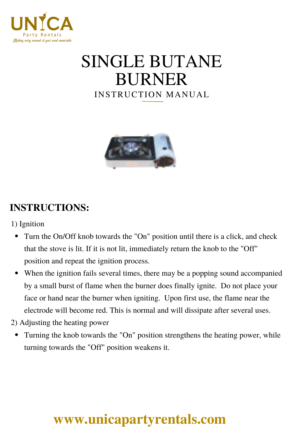

# INSTRUCTION MANUAL SINGLE BUTANE BURNER



### **INSTRUCTIONS:**

- 1) Ignition
	- Turn the On/Off knob towards the "On" position until there is a click, and check that the stove is lit. If it is not lit, immediately return the knob to the "Off" position and repeat the ignition process.
	- When the ignition fails several times, there may be a popping sound accompanied by a small burst of flame when the burner does finally ignite. Do not place your face or hand near the burner when igniting. Upon first use, the flame near the electrode will become red. This is normal and will dissipate after several uses.
- 2) Adjusting the heating power
	- Turning the knob towards the "On" position strengthens the heating power, while  $\bullet$ turning towards the "Off" position weakens it.

## **[www.unicapartyrentals.com](https://www.unicapartyrentals.com/contact)**